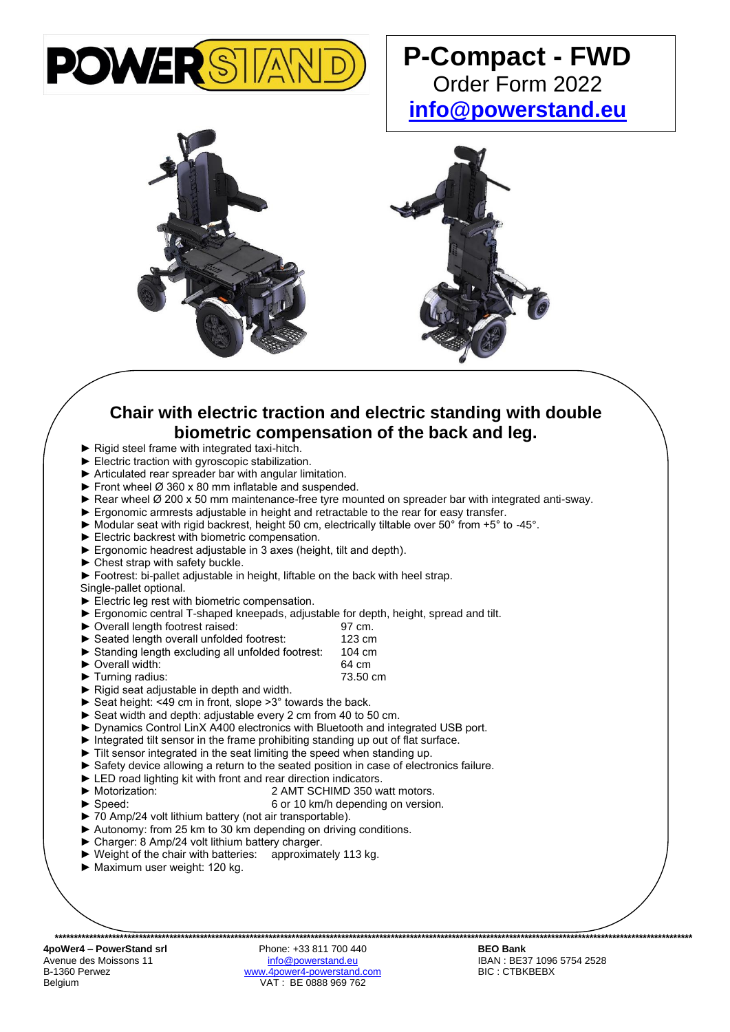

## **P-Compact - FWD** Order Form 2022 **[info@powerstand.eu](mailto:info@powerstand.eu)**





## **Chair with electric traction and electric standing with double biometric compensation of the back and leg.**

- ► Rigid steel frame with integrated taxi-hitch.
- ► Electric traction with gyroscopic stabilization.
- ► Articulated rear spreader bar with angular limitation.
- $\blacktriangleright$  Front wheel  $\varnothing$  360 x 80 mm inflatable and suspended.
- $\blacktriangleright$  Rear wheel  $\varnothing$  200 x 50 mm maintenance-free tyre mounted on spreader bar with integrated anti-sway.
- ► Ergonomic armrests adjustable in height and retractable to the rear for easy transfer.
- ► Modular seat with rigid backrest, height 50 cm, electrically tiltable over 50° from +5° to -45°.
- ► Electric backrest with biometric compensation.
- ► Ergonomic headrest adjustable in 3 axes (height, tilt and depth).
- ► Chest strap with safety buckle.
- ► Footrest: bi-pallet adjustable in height, liftable on the back with heel strap.
- Single-pallet optional.
- ► Electric leg rest with biometric compensation.
- ► Ergonomic central T-shaped kneepads, adjustable for depth, height, spread and tilt.
- ► Overall length footrest raised: 97 cm.
- 
- Seated length overall unfolded footrest: 123 cm<br>Standing length excluding all unfolded footrest: 104 cm ▶ Standing length excluding all unfolded footrest:
- ► Overall width: 64 cm
- ► Turning radius: 73.50 cm
- ► Rigid seat adjustable in depth and width.
- ► Seat height: <49 cm in front, slope >3° towards the back.
- Seat width and depth: adjustable every 2 cm from 40 to 50 cm.
- ► Dynamics Control LinX A400 electronics with Bluetooth and integrated USB port.
- ► Integrated tilt sensor in the frame prohibiting standing up out of flat surface.
- ► Tilt sensor integrated in the seat limiting the speed when standing up.
- ► Safety device allowing a return to the seated position in case of electronics failure.
- ► LED road lighting kit with front and rear direction indicators.
- 
- ► Motorization: 2 AMT SCHIMD 350 watt motors.
- ► Speed: 6 or 10 km/h depending on version.
- ► 70 Amp/24 volt lithium battery (not air transportable).
- ► Autonomy: from 25 km to 30 km depending on driving conditions.
- ► Charger: 8 Amp/24 volt lithium battery charger.
- ► Weight of the chair with batteries: approximately 113 kg.
- ► Maximum user weight: 120 kg.

**4poWer4 – PowerStand srl** Phone: +33 811 700 440 **BEO Bank** Avenue des Moissons 11 **[info@powerstand.eu](mailto:info@powerstand.eu)** info@powerstand.eu **IBAN : BE37 1096 5754 2528**<br>B-1360 Perwez **info@powerstand.com** BIC : CTBKBEBX B-1360 Perwez [www.4power4-powerstand.com](http://www.4power4-powerstand.com/)<br>Belgium VAT: BE 0888 969 762 VAT : BE 0888 969 762

**\*\*\*\*\*\*\*\*\*\*\*\*\*\*\*\*\*\*\*\*\*\*\*\*\*\*\*\*\*\*\*\*\*\*\*\*\*\*\*\*\*\*\*\*\*\*\*\*\*\*\*\*\*\*\*\*\*\*\*\*\*\*\*\*\*\*\*\*\*\*\*\*\*\*\*\*\*\*\*\*\*\*\*\*\*\*\*\*\*\*\*\*\*\*\*\*\*\*\*\*\*\*\*\*\*\*\*\*\*\*\*\*\*\*\*\*\*\*\*\*\*\*\*\*\*\*\*\*\*\*\*\*\*\*\*\*\*\*\*\*\*\*\*\*\*\*\*\*\*\*\*\*\*\*\*\*\*\*\*\*\*\*\*\*\*\*\***